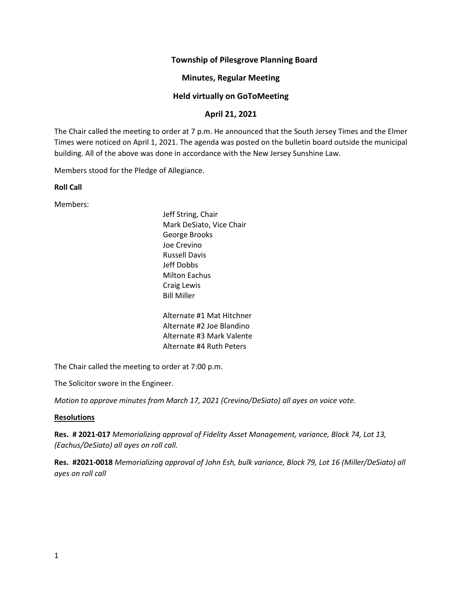## **Township of Pilesgrove Planning Board**

## **Minutes, Regular Meeting**

## **Held virtually on GoToMeeting**

# **April 21, 2021**

The Chair called the meeting to order at 7 p.m. He announced that the South Jersey Times and the Elmer Times were noticed on April 1, 2021. The agenda was posted on the bulletin board outside the municipal building. All of the above was done in accordance with the New Jersey Sunshine Law.

Members stood for the Pledge of Allegiance.

#### **Roll Call**

Members:

Jeff String, Chair Mark DeSiato, Vice Chair George Brooks Joe Crevino Russell Davis Jeff Dobbs Milton Eachus Craig Lewis Bill Miller

Alternate #1 Mat Hitchner Alternate #2 Joe Blandino Alternate #3 Mark Valente Alternate #4 Ruth Peters

The Chair called the meeting to order at 7:00 p.m.

The Solicitor swore in the Engineer.

*Motion to approve minutes from March 17, 2021 (Crevino/DeSiato) all ayes on voice vote.* 

#### **Resolutions**

**Res. # 2021-017** *Memorializing approval of Fidelity Asset Management, variance, Block 74, Lot 13, (Eachus/DeSiato) all ayes on roll call.*

**Res. #2021-0018** *Memorializing approval of John Esh, bulk variance, Block 79, Lot 16 (Miller/DeSiato) all ayes on roll call*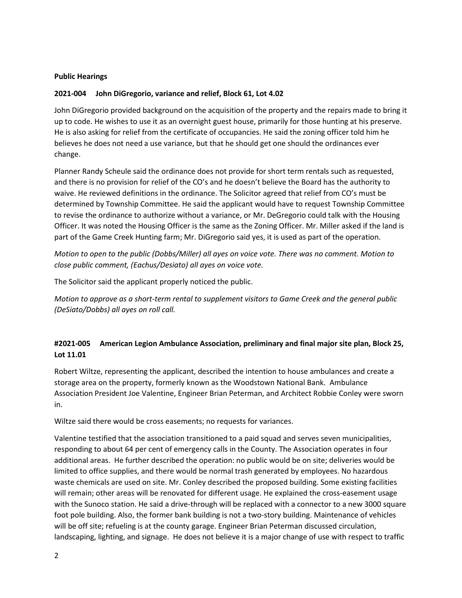#### **Public Hearings**

#### **2021-004 John DiGregorio, variance and relief, Block 61, Lot 4.02**

John DiGregorio provided background on the acquisition of the property and the repairs made to bring it up to code. He wishes to use it as an overnight guest house, primarily for those hunting at his preserve. He is also asking for relief from the certificate of occupancies. He said the zoning officer told him he believes he does not need a use variance, but that he should get one should the ordinances ever change.

Planner Randy Scheule said the ordinance does not provide for short term rentals such as requested, and there is no provision for relief of the CO's and he doesn't believe the Board has the authority to waive. He reviewed definitions in the ordinance. The Solicitor agreed that relief from CO's must be determined by Township Committee. He said the applicant would have to request Township Committee to revise the ordinance to authorize without a variance, or Mr. DeGregorio could talk with the Housing Officer. It was noted the Housing Officer is the same as the Zoning Officer. Mr. Miller asked if the land is part of the Game Creek Hunting farm; Mr. DiGregorio said yes, it is used as part of the operation.

*Motion to open to the public (Dobbs/Miller) all ayes on voice vote. There was no comment. Motion to close public comment, (Eachus/Desiato) all ayes on voice vote.* 

The Solicitor said the applicant properly noticed the public.

*Motion to approve as a short-term rental to supplement visitors to Game Creek and the general public (DeSiato/Dobbs) all ayes on roll call.*

# **#2021-005 American Legion Ambulance Association, preliminary and final major site plan, Block 25, Lot 11.01**

Robert Wiltze, representing the applicant, described the intention to house ambulances and create a storage area on the property, formerly known as the Woodstown National Bank. Ambulance Association President Joe Valentine, Engineer Brian Peterman, and Architect Robbie Conley were sworn in.

Wiltze said there would be cross easements; no requests for variances.

Valentine testified that the association transitioned to a paid squad and serves seven municipalities, responding to about 64 per cent of emergency calls in the County. The Association operates in four additional areas. He further described the operation: no public would be on site; deliveries would be limited to office supplies, and there would be normal trash generated by employees. No hazardous waste chemicals are used on site. Mr. Conley described the proposed building. Some existing facilities will remain; other areas will be renovated for different usage. He explained the cross-easement usage with the Sunoco station. He said a drive-through will be replaced with a connector to a new 3000 square foot pole building. Also, the former bank building is not a two-story building. Maintenance of vehicles will be off site; refueling is at the county garage. Engineer Brian Peterman discussed circulation, landscaping, lighting, and signage. He does not believe it is a major change of use with respect to traffic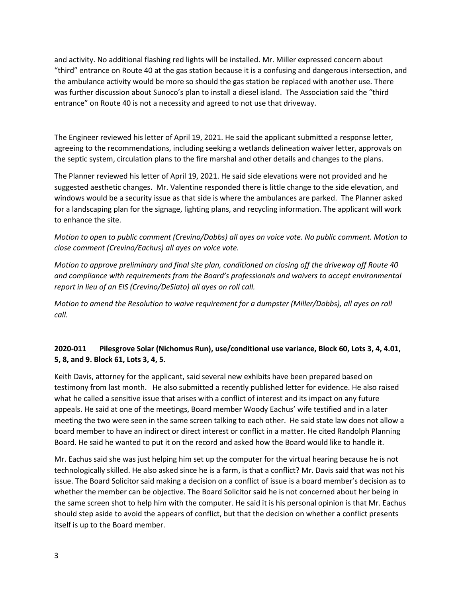and activity. No additional flashing red lights will be installed. Mr. Miller expressed concern about "third" entrance on Route 40 at the gas station because it is a confusing and dangerous intersection, and the ambulance activity would be more so should the gas station be replaced with another use. There was further discussion about Sunoco's plan to install a diesel island. The Association said the "third entrance" on Route 40 is not a necessity and agreed to not use that driveway.

The Engineer reviewed his letter of April 19, 2021. He said the applicant submitted a response letter, agreeing to the recommendations, including seeking a wetlands delineation waiver letter, approvals on the septic system, circulation plans to the fire marshal and other details and changes to the plans.

The Planner reviewed his letter of April 19, 2021. He said side elevations were not provided and he suggested aesthetic changes. Mr. Valentine responded there is little change to the side elevation, and windows would be a security issue as that side is where the ambulances are parked. The Planner asked for a landscaping plan for the signage, lighting plans, and recycling information. The applicant will work to enhance the site.

*Motion to open to public comment (Crevino/Dobbs) all ayes on voice vote. No public comment. Motion to close comment (Crevino/Eachus) all ayes on voice vote.*

*Motion to approve preliminary and final site plan, conditioned on closing off the driveway off Route 40 and compliance with requirements from the Board's professionals and waivers to accept environmental report in lieu of an EIS (Crevino/DeSiato) all ayes on roll call.*

*Motion to amend the Resolution to waive requirement for a dumpster (Miller/Dobbs), all ayes on roll call.*

# **2020-011 Pilesgrove Solar (Nichomus Run), use/conditional use variance, Block 60, Lots 3, 4, 4.01, 5, 8, and 9. Block 61, Lots 3, 4, 5.**

Keith Davis, attorney for the applicant, said several new exhibits have been prepared based on testimony from last month. He also submitted a recently published letter for evidence. He also raised what he called a sensitive issue that arises with a conflict of interest and its impact on any future appeals. He said at one of the meetings, Board member Woody Eachus' wife testified and in a later meeting the two were seen in the same screen talking to each other. He said state law does not allow a board member to have an indirect or direct interest or conflict in a matter. He cited Randolph Planning Board. He said he wanted to put it on the record and asked how the Board would like to handle it.

Mr. Eachus said she was just helping him set up the computer for the virtual hearing because he is not technologically skilled. He also asked since he is a farm, is that a conflict? Mr. Davis said that was not his issue. The Board Solicitor said making a decision on a conflict of issue is a board member's decision as to whether the member can be objective. The Board Solicitor said he is not concerned about her being in the same screen shot to help him with the computer. He said it is his personal opinion is that Mr. Eachus should step aside to avoid the appears of conflict, but that the decision on whether a conflict presents itself is up to the Board member.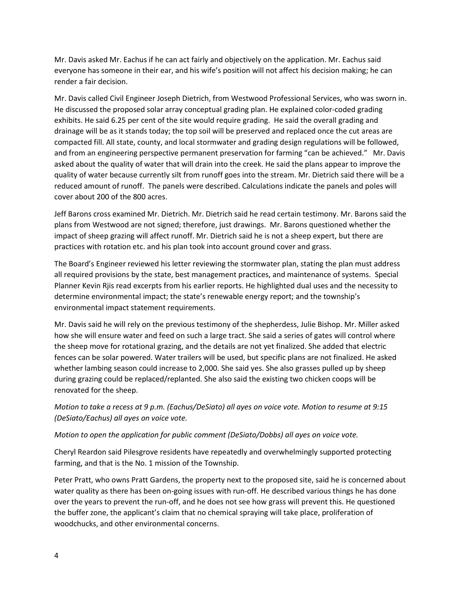Mr. Davis asked Mr. Eachus if he can act fairly and objectively on the application. Mr. Eachus said everyone has someone in their ear, and his wife's position will not affect his decision making; he can render a fair decision.

Mr. Davis called Civil Engineer Joseph Dietrich, from Westwood Professional Services, who was sworn in. He discussed the proposed solar array conceptual grading plan. He explained color-coded grading exhibits. He said 6.25 per cent of the site would require grading. He said the overall grading and drainage will be as it stands today; the top soil will be preserved and replaced once the cut areas are compacted fill. All state, county, and local stormwater and grading design regulations will be followed, and from an engineering perspective permanent preservation for farming "can be achieved." Mr. Davis asked about the quality of water that will drain into the creek. He said the plans appear to improve the quality of water because currently silt from runoff goes into the stream. Mr. Dietrich said there will be a reduced amount of runoff. The panels were described. Calculations indicate the panels and poles will cover about 200 of the 800 acres.

Jeff Barons cross examined Mr. Dietrich. Mr. Dietrich said he read certain testimony. Mr. Barons said the plans from Westwood are not signed; therefore, just drawings. Mr. Barons questioned whether the impact of sheep grazing will affect runoff. Mr. Dietrich said he is not a sheep expert, but there are practices with rotation etc. and his plan took into account ground cover and grass.

The Board's Engineer reviewed his letter reviewing the stormwater plan, stating the plan must address all required provisions by the state, best management practices, and maintenance of systems. Special Planner Kevin Rjis read excerpts from his earlier reports. He highlighted dual uses and the necessity to determine environmental impact; the state's renewable energy report; and the township's environmental impact statement requirements.

Mr. Davis said he will rely on the previous testimony of the shepherdess, Julie Bishop. Mr. Miller asked how she will ensure water and feed on such a large tract. She said a series of gates will control where the sheep move for rotational grazing, and the details are not yet finalized. She added that electric fences can be solar powered. Water trailers will be used, but specific plans are not finalized. He asked whether lambing season could increase to 2,000. She said yes. She also grasses pulled up by sheep during grazing could be replaced/replanted. She also said the existing two chicken coops will be renovated for the sheep.

*Motion to take a recess at 9 p.m. (Eachus/DeSiato) all ayes on voice vote. Motion to resume at 9:15 (DeSiato/Eachus) all ayes on voice vote.* 

*Motion to open the application for public comment (DeSiato/Dobbs) all ayes on voice vote.*

Cheryl Reardon said Pilesgrove residents have repeatedly and overwhelmingly supported protecting farming, and that is the No. 1 mission of the Township.

Peter Pratt, who owns Pratt Gardens, the property next to the proposed site, said he is concerned about water quality as there has been on-going issues with run-off. He described various things he has done over the years to prevent the run-off, and he does not see how grass will prevent this. He questioned the buffer zone, the applicant's claim that no chemical spraying will take place, proliferation of woodchucks, and other environmental concerns.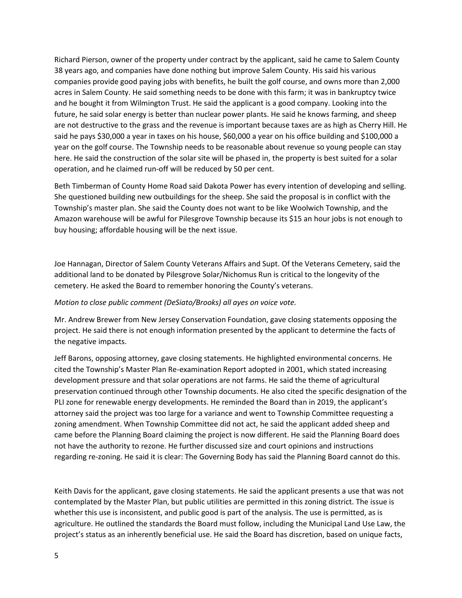Richard Pierson, owner of the property under contract by the applicant, said he came to Salem County 38 years ago, and companies have done nothing but improve Salem County. His said his various companies provide good paying jobs with benefits, he built the golf course, and owns more than 2,000 acres in Salem County. He said something needs to be done with this farm; it was in bankruptcy twice and he bought it from Wilmington Trust. He said the applicant is a good company. Looking into the future, he said solar energy is better than nuclear power plants. He said he knows farming, and sheep are not destructive to the grass and the revenue is important because taxes are as high as Cherry Hill. He said he pays \$30,000 a year in taxes on his house, \$60,000 a year on his office building and \$100,000 a year on the golf course. The Township needs to be reasonable about revenue so young people can stay here. He said the construction of the solar site will be phased in, the property is best suited for a solar operation, and he claimed run-off will be reduced by 50 per cent.

Beth Timberman of County Home Road said Dakota Power has every intention of developing and selling. She questioned building new outbuildings for the sheep. She said the proposal is in conflict with the Township's master plan. She said the County does not want to be like Woolwich Township, and the Amazon warehouse will be awful for Pilesgrove Township because its \$15 an hour jobs is not enough to buy housing; affordable housing will be the next issue.

Joe Hannagan, Director of Salem County Veterans Affairs and Supt. Of the Veterans Cemetery, said the additional land to be donated by Pilesgrove Solar/Nichomus Run is critical to the longevity of the cemetery. He asked the Board to remember honoring the County's veterans.

#### *Motion to close public comment (DeSiato/Brooks) all ayes on voice vote.*

Mr. Andrew Brewer from New Jersey Conservation Foundation, gave closing statements opposing the project. He said there is not enough information presented by the applicant to determine the facts of the negative impacts.

Jeff Barons, opposing attorney, gave closing statements. He highlighted environmental concerns. He cited the Township's Master Plan Re-examination Report adopted in 2001, which stated increasing development pressure and that solar operations are not farms. He said the theme of agricultural preservation continued through other Township documents. He also cited the specific designation of the PLI zone for renewable energy developments. He reminded the Board than in 2019, the applicant's attorney said the project was too large for a variance and went to Township Committee requesting a zoning amendment. When Township Committee did not act, he said the applicant added sheep and came before the Planning Board claiming the project is now different. He said the Planning Board does not have the authority to rezone. He further discussed size and court opinions and instructions regarding re-zoning. He said it is clear: The Governing Body has said the Planning Board cannot do this.

Keith Davis for the applicant, gave closing statements. He said the applicant presents a use that was not contemplated by the Master Plan, but public utilities are permitted in this zoning district. The issue is whether this use is inconsistent, and public good is part of the analysis. The use is permitted, as is agriculture. He outlined the standards the Board must follow, including the Municipal Land Use Law, the project's status as an inherently beneficial use. He said the Board has discretion, based on unique facts,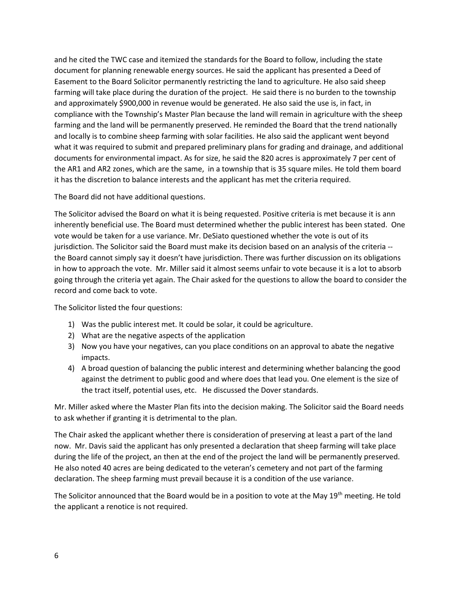and he cited the TWC case and itemized the standards for the Board to follow, including the state document for planning renewable energy sources. He said the applicant has presented a Deed of Easement to the Board Solicitor permanently restricting the land to agriculture. He also said sheep farming will take place during the duration of the project. He said there is no burden to the township and approximately \$900,000 in revenue would be generated. He also said the use is, in fact, in compliance with the Township's Master Plan because the land will remain in agriculture with the sheep farming and the land will be permanently preserved. He reminded the Board that the trend nationally and locally is to combine sheep farming with solar facilities. He also said the applicant went beyond what it was required to submit and prepared preliminary plans for grading and drainage, and additional documents for environmental impact. As for size, he said the 820 acres is approximately 7 per cent of the AR1 and AR2 zones, which are the same, in a township that is 35 square miles. He told them board it has the discretion to balance interests and the applicant has met the criteria required.

The Board did not have additional questions.

The Solicitor advised the Board on what it is being requested. Positive criteria is met because it is ann inherently beneficial use. The Board must determined whether the public interest has been stated. One vote would be taken for a use variance. Mr. DeSiato questioned whether the vote is out of its jurisdiction. The Solicitor said the Board must make its decision based on an analysis of the criteria - the Board cannot simply say it doesn't have jurisdiction. There was further discussion on its obligations in how to approach the vote. Mr. Miller said it almost seems unfair to vote because it is a lot to absorb going through the criteria yet again. The Chair asked for the questions to allow the board to consider the record and come back to vote.

The Solicitor listed the four questions:

- 1) Was the public interest met. It could be solar, it could be agriculture.
- 2) What are the negative aspects of the application
- 3) Now you have your negatives, can you place conditions on an approval to abate the negative impacts.
- 4) A broad question of balancing the public interest and determining whether balancing the good against the detriment to public good and where does that lead you. One element is the size of the tract itself, potential uses, etc. He discussed the Dover standards.

Mr. Miller asked where the Master Plan fits into the decision making. The Solicitor said the Board needs to ask whether if granting it is detrimental to the plan.

The Chair asked the applicant whether there is consideration of preserving at least a part of the land now. Mr. Davis said the applicant has only presented a declaration that sheep farming will take place during the life of the project, an then at the end of the project the land will be permanently preserved. He also noted 40 acres are being dedicated to the veteran's cemetery and not part of the farming declaration. The sheep farming must prevail because it is a condition of the use variance.

The Solicitor announced that the Board would be in a position to vote at the May 19<sup>th</sup> meeting. He told the applicant a renotice is not required.